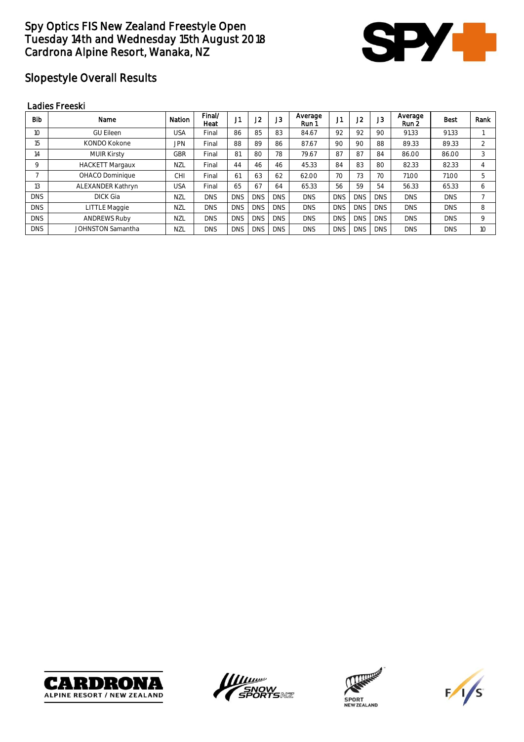

# Slopestyle Overall Results

#### Ladies Freeski

| <b>Bib</b> | Name                | Nation     | Final/<br>Heat | JI         | J <sub>2</sub> | J3         | Average<br>Run 1 | 14.<br>IJ  | J <sub>2</sub> | J <sub>3</sub> | Average<br>Run 2 | <b>Best</b> | Rank           |
|------------|---------------------|------------|----------------|------------|----------------|------------|------------------|------------|----------------|----------------|------------------|-------------|----------------|
| 10         | <b>GU Eileen</b>    | USA        | Final          | 86         | 85             | 83         | 84.67            | 92         | 92             | 90             | 91.33            | 91.33       |                |
| 15         | KONDO Kokone        | <b>JPN</b> | Final          | 88         | 89             | 86         | 87.67            | 90         | 90             | 88             | 89.33            | 89.33       | $\mathfrak{D}$ |
| 14         | <b>MUIR Kirsty</b>  | GBR        | Final          | 81         | 80             | 78         | 79.67            | 87         | 87             | 84             | 86.00            | 86.00       | 3              |
| 9          | HACKETT Margaux     | <b>NZL</b> | Final          | 44         | 46             | 46         | 45.33            | 84         | 83             | 80             | 82.33            | 82.33       | 4              |
|            | OHACO Dominique     | CНI        | Final          | 61         | 63             | 62         | 62.00            | 70         | 73             | 70             | 71.00            | 71.00       | 5              |
| 13         | ALEXANDER Kathryn   | USA        | Final          | 65         | 67             | 64         | 65.33            | 56         | 59             | 54             | 56.33            | 65.33       | 6              |
| <b>DNS</b> | <b>DICK Gia</b>     | NZL        | <b>DNS</b>     | <b>DNS</b> | <b>DNS</b>     | <b>DNS</b> | <b>DNS</b>       | <b>DNS</b> | <b>DNS</b>     | <b>DNS</b>     | <b>DNS</b>       | <b>DNS</b>  |                |
| <b>DNS</b> | LITTLE Maggie       | <b>NZL</b> | <b>DNS</b>     | <b>DNS</b> | <b>DNS</b>     | <b>DNS</b> | <b>DNS</b>       | <b>DNS</b> | <b>DNS</b>     | <b>DNS</b>     | <b>DNS</b>       | <b>DNS</b>  | 8              |
| <b>DNS</b> | <b>ANDREWS Ruby</b> | <b>NZL</b> | <b>DNS</b>     | <b>DNS</b> | <b>DNS</b>     | <b>DNS</b> | <b>DNS</b>       | <b>DNS</b> | <b>DNS</b>     | <b>DNS</b>     | <b>DNS</b>       | <b>DNS</b>  | 9              |
| <b>DNS</b> | JOHNSTON Samantha   | <b>NZL</b> | <b>DNS</b>     | <b>DNS</b> | <b>DNS</b>     | <b>DNS</b> | <b>DNS</b>       | <b>DNS</b> | <b>DNS</b>     | <b>DNS</b>     | <b>DNS</b>       | <b>DNS</b>  | 10             |







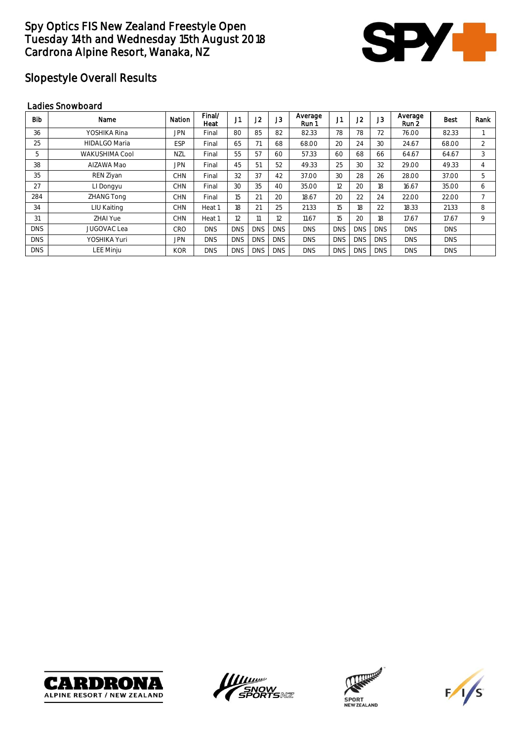

# Slopestyle Overall Results

#### Ladies Snowboard

| <b>Bib</b> | Name                 | Nation     | Final/<br>Heat | J <sub>1</sub> | J2         | J <sub>3</sub> | Average<br>Run 1 | J1         | J2         | J <sub>3</sub> | Average<br>Run 2 | Best       | Rank           |
|------------|----------------------|------------|----------------|----------------|------------|----------------|------------------|------------|------------|----------------|------------------|------------|----------------|
| 36         | YOSHIKA Rina         | JPN        | Final          | 80             | 85         | 82             | 82.33            | 78         | 78         | 72             | 76.00            | 82.33      |                |
| 25         | <b>HIDALGO Maria</b> | <b>ESP</b> | Final          | 65             | 71         | 68             | 68.00            | 20         | 24         | 30             | 24.67            | 68.00      | $\mathfrak{D}$ |
| 5          | WAKUSHIMA Cool       | <b>NZL</b> | Final          | 55             | 57         | 60             | 57.33            | 60         | 68         | 66             | 64.67            | 64.67      | 3              |
| 38         | AIZAWA Mao           | <b>JPN</b> | Final          | 45             | 51         | 52             | 49.33            | 25         | 30         | 32             | 29.00            | 49.33      | 4              |
| 35         | REN Ziyan            | <b>CHN</b> | Final          | 32             | 37         | 42             | 37.00            | 30         | 28         | 26             | 28.00            | 37.00      | 5              |
| 27         | LI Dongyu            | <b>CHN</b> | Final          | 30             | 35         | 40             | 35.00            | 12         | 20         | 18             | 16.67            | 35.00      | 6              |
| 284        | ZHANG Tong           | <b>CHN</b> | Final          | 15             | 21         | 20             | 18.67            | 20         | 22         | 24             | 22.00            | 22.00      |                |
| 34         | LIU Kaiting          | <b>CHN</b> | Heat 1         | 18             | 21         | 25             | 21.33            | 15         | 18         | 22             | 18.33            | 21.33      | 8              |
| 31         | ZHAI Yue             | <b>CHN</b> | Heat 1         | 12             | 11         | 12             | 11.67            | 15         | 20         | 18             | 17.67            | 17.67      | 9              |
| <b>DNS</b> | <b>JUGOVAC Lea</b>   | CRO        | <b>DNS</b>     | <b>DNS</b>     | <b>DNS</b> | <b>DNS</b>     | <b>DNS</b>       | <b>DNS</b> | <b>DNS</b> | <b>DNS</b>     | <b>DNS</b>       | <b>DNS</b> |                |
| <b>DNS</b> | YOSHIKA Yuri         | JPN        | <b>DNS</b>     | <b>DNS</b>     | <b>DNS</b> | <b>DNS</b>     | <b>DNS</b>       | <b>DNS</b> | <b>DNS</b> | <b>DNS</b>     | <b>DNS</b>       | <b>DNS</b> |                |
| <b>DNS</b> | <b>LEE Minju</b>     | <b>KOR</b> | <b>DNS</b>     | <b>DNS</b>     | <b>DNS</b> | <b>DNS</b>     | <b>DNS</b>       | <b>DNS</b> | <b>DNS</b> | <b>DNS</b>     | <b>DNS</b>       | <b>DNS</b> |                |







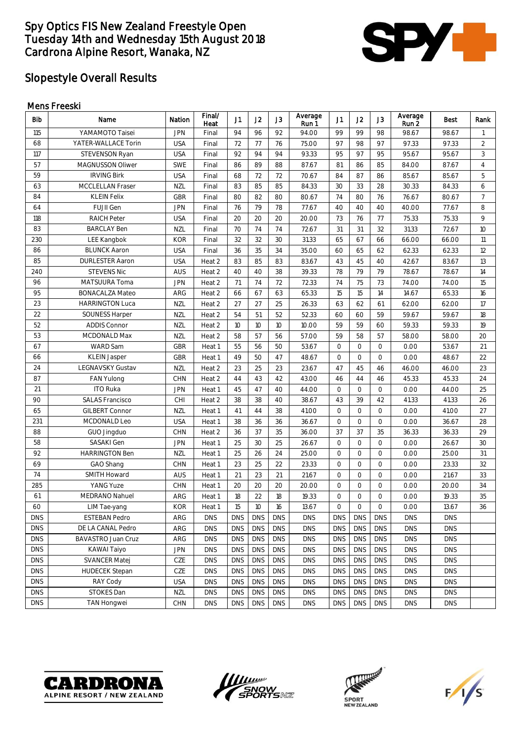

# Slopestyle Overall Results

#### Mens Freeski

| <b>Bib</b> | Name                   | Nation     | Final/<br>Heat | J1         | J2         | J3             | Average<br>Run1 | J1         | J2                  | J3         | Average<br>Run 2 | Best       | Rank           |
|------------|------------------------|------------|----------------|------------|------------|----------------|-----------------|------------|---------------------|------------|------------------|------------|----------------|
| 115        | YAMAMOTO Taisei        | <b>JPN</b> | Final          | 94         | 96         | 92             | 94.00           | 99         | 99                  | 98         | 98.67            | 98.67      | $\mathbf{1}$   |
| 68         | YATER-WALLACE Torin    | <b>USA</b> | Final          | 72         | 77         | 76             | 75.00           | 97         | 98                  | 97         | 97.33            | 97.33      | $\overline{2}$ |
| 117        | STEVENSON Ryan         | <b>USA</b> | Final          | 92         | 94         | 94             | 93.33           | 95         | 97                  | 95         | 95.67            | 95.67      | 3              |
| 57         | MAGNUSSON Oliwer       | <b>SWE</b> | Final          | 86         | 89         | 88             | 87.67           | 81         | 86                  | 85         | 84.00            | 87.67      | $\overline{4}$ |
| 59         | <b>IRVING Birk</b>     | <b>USA</b> | Final          | 68         | 72         | 72             | 70.67           | 84         | 87                  | 86         | 85.67            | 85.67      | 5              |
| 63         | MCCLELLAN Fraser       | NZL        | Final          | 83         | 85         | 85             | 84.33           | 30         | 33                  | 28         | 30.33            | 84.33      | 6              |
| 84         | <b>KLEIN Felix</b>     | <b>GBR</b> | Final          | 80         | 82         | 80             | 80.67           | 74         | 80                  | 76         | 76.67            | 80.67      | $\overline{7}$ |
| 64         | FUJII Gen              | <b>JPN</b> | Final          | 76         | 79         | 78             | 77.67           | 40         | 40                  | 40         | 40.00            | 77.67      | 8              |
| 118        | <b>RAICH Peter</b>     | <b>USA</b> | Final          | 20         | 20         | 20             | 20.00           | 73         | 76                  | 77         | 75.33            | 75.33      | 9              |
| 83         | <b>BARCLAY Ben</b>     | NZL        | Final          | 70         | 74         | 74             | 72.67           | 31         | 31                  | 32         | 31.33            | 72.67      | 10             |
| 230        | LEE Kangbok            | <b>KOR</b> | Final          | 32         | 32         | 30             | 31.33           | 65         | 67                  | 66         | 66.00            | 66.00      | 11             |
| 86         | <b>BLUNCK Aaron</b>    | <b>USA</b> | Final          | 36         | 35         | 34             | 35.00           | 60         | 65                  | 62         | 62.33            | 62.33      | 12             |
| 85         | <b>DURLESTER Aaron</b> | <b>USA</b> | Heat 2         | 83         | 85         | 83             | 83.67           | 43         | 45                  | 40         | 42.67            | 83.67      | 13             |
| 240        | <b>STEVENS Nic</b>     | <b>AUS</b> | Heat 2         | 40         | 40         | 38             | 39.33           | 78         | 79                  | 79         | 78.67            | 78.67      | 14             |
| 96         | MATSUURA Toma          | <b>JPN</b> | Heat 2         | 71         | 74         | 72             | 72.33           | 74         | 75                  | 73         | 74.00            | 74.00      | 15             |
| 95         | <b>BONACALZA Mateo</b> | ARG        | Heat 2         | 66         | 67         | 63             | 65.33           | 15         | 15                  | 14         | 14.67            | 65.33      | 16             |
| 23         | <b>HARRINGTON Luca</b> | NZL        | Heat 2         | 27         | 27         | 25             | 26.33           | 63         | 62                  | 61         | 62.00            | 62.00      | 17             |
| 22         | <b>SOUNESS Harper</b>  | NZL        | Heat 2         | 54         | 51         | 52             | 52.33           | 60         | 60                  | 59         | 59.67            | 59.67      | 18             |
| 52         | <b>ADDIS Connor</b>    | <b>NZL</b> | Heat 2         | 10         | 10         | 10             | 10.00           | 59         | 59                  | 60         | 59.33            | 59.33      | 19             |
| 53         | MCDONALD Max           | NZL        | Heat 2         | 58         | 57         | 56             | 57.00           | 59         | 58                  | 57         | 58.00            | 58.00      | 20             |
| 67         | WARD Sam               | <b>GBR</b> | Heat 1         | 55         | 56         | 50             | 53.67           | $\circ$    | $\circ$             | $\circ$    | 0.00             | 53.67      | 21             |
| 66         | <b>KLEIN Jasper</b>    | <b>GBR</b> | Heat 1         | 49         | 50         | 47             | 48.67           | $\circ$    | $\circ$             | $\circ$    | 0.00             | 48.67      | 22             |
| 24         | LEGNAVSKY Gustav       | <b>NZL</b> | Heat 2         | 23         | 25         | 23             | 23.67           | 47         | 45                  | 46         | 46.00            | 46.00      | 23             |
| 87         | <b>FAN Yulong</b>      | <b>CHN</b> | Heat 2         | 44         | 43         | 42             | 43.00           | 46         | 44                  | 46         | 45.33            | 45.33      | 24             |
| 21         | <b>ITO Ruka</b>        | <b>JPN</b> | Heat 1         | 45         | 47         | 40             | 44.00           | $\circ$    | $\circ$             | $\circ$    | 0.00             | 44.00      | 25             |
| 90         | <b>SALAS Francisco</b> | CHI        | Heat 2         | 38         | 38         | 40             | 38.67           | 43         | 39                  | 42         | 41.33            | 41.33      | 26             |
| 65         | <b>GILBERT Connor</b>  | <b>NZL</b> | Heat 1         | 41         | 44         | 38             | 41.00           | $\circ$    | $\circ$             | $\circ$    | 0.00             | 41.00      | 27             |
| 231        | MCDONALD Leo           | <b>USA</b> | Heat 1         | 38         | 36         | 36             | 36.67           | $\circ$    | $\circlearrowright$ | $\circ$    | 0.00             | 36.67      | 28             |
| 88         | GUO Jingduo            | <b>CHN</b> | Heat 2         | 36         | 37         | 35             | 36.00           | 37         | 37                  | 35         | 36.33            | 36.33      | 29             |
| 58         | SASAKI Gen             | JPN        | Heat 1         | 25         | 30         | 25             | 26.67           | $\circ$    | $\circ$             | $\circ$    | 0.00             | 26.67      | 30             |
| 92         | <b>HARRINGTON Ben</b>  | <b>NZL</b> | Heat 1         | 25         | 26         | 24             | 25.00           | $\circ$    | $\circ$             | $\circ$    | 0.00             | 25.00      | 31             |
| 69         | GAO Shang              | <b>CHN</b> | Heat 1         | 23         | 25         | 22             | 23.33           | $\circ$    | $\circ$             | $\circ$    | 0.00             | 23.33      | 32             |
| 74         | SMITH Howard           | <b>AUS</b> | Heat 1         | 21         | 23         | 21             | 21.67           | $\circ$    | $\circ$             | $\circ$    | 0.00             | 21.67      | 33             |
| 285        | YANG Yuze              | CHN        | Heat 1         | 20         | 20         | 20             | 20.00           | $\circ$    | $\circ$             | $\circ$    | 0.00             | 20.00      | 34             |
| 61         | <b>MEDRANO Nahuel</b>  | ARG        | Heat 1         | 18         | 22         | 18             | 19.33           | $\circ$    | $\circ$             | $\circ$    | 0.00             | 19.33      | 35             |
| 60         | LIM Tae-yang           | <b>KOR</b> | Heat 1         | 15         | 10         | 16             | 13.67           | 0          | 0                   | $\circ$    | 0.00             | 13.67      | 36             |
| <b>DNS</b> | <b>ESTEBAN Pedro</b>   | ARG        | <b>DNS</b>     | <b>DNS</b> | <b>DNS</b> | $\mathsf{DNS}$ | <b>DNS</b>      | <b>DNS</b> | <b>DNS</b>          | <b>DNS</b> | <b>DNS</b>       | <b>DNS</b> |                |
| <b>DNS</b> | DE LA CANAL Pedro      | ARG        | <b>DNS</b>     | <b>DNS</b> | <b>DNS</b> | <b>DNS</b>     | <b>DNS</b>      | <b>DNS</b> | <b>DNS</b>          | <b>DNS</b> | <b>DNS</b>       | <b>DNS</b> |                |
| <b>DNS</b> | BAVASTRO Juan Cruz     | ARG        | <b>DNS</b>     | <b>DNS</b> | <b>DNS</b> | <b>DNS</b>     | <b>DNS</b>      | <b>DNS</b> | <b>DNS</b>          | <b>DNS</b> | <b>DNS</b>       | <b>DNS</b> |                |
| <b>DNS</b> | KAWAI Taiyo            | <b>JPN</b> | <b>DNS</b>     | <b>DNS</b> | <b>DNS</b> | <b>DNS</b>     | <b>DNS</b>      | <b>DNS</b> | <b>DNS</b>          | <b>DNS</b> | <b>DNS</b>       | <b>DNS</b> |                |
| <b>DNS</b> | <b>SVANCER Matej</b>   | CZE        | <b>DNS</b>     | <b>DNS</b> | <b>DNS</b> | <b>DNS</b>     | <b>DNS</b>      | <b>DNS</b> | <b>DNS</b>          | <b>DNS</b> | <b>DNS</b>       | <b>DNS</b> |                |
| <b>DNS</b> | <b>HUDECEK Stepan</b>  | CZE        | <b>DNS</b>     | <b>DNS</b> | <b>DNS</b> | <b>DNS</b>     | <b>DNS</b>      | <b>DNS</b> | <b>DNS</b>          | <b>DNS</b> | <b>DNS</b>       | <b>DNS</b> |                |
| <b>DNS</b> | RAY Cody               | <b>USA</b> | <b>DNS</b>     | <b>DNS</b> | <b>DNS</b> | <b>DNS</b>     | <b>DNS</b>      | <b>DNS</b> | <b>DNS</b>          | <b>DNS</b> | <b>DNS</b>       | <b>DNS</b> |                |
| <b>DNS</b> | STOKES Dan             | <b>NZL</b> | <b>DNS</b>     | <b>DNS</b> | <b>DNS</b> | <b>DNS</b>     | <b>DNS</b>      | <b>DNS</b> | <b>DNS</b>          | <b>DNS</b> | <b>DNS</b>       | <b>DNS</b> |                |
| <b>DNS</b> | <b>TAN Hongwei</b>     | CHN        | <b>DNS</b>     | <b>DNS</b> | <b>DNS</b> | <b>DNS</b>     | <b>DNS</b>      | <b>DNS</b> | <b>DNS</b>          | <b>DNS</b> | <b>DNS</b>       | <b>DNS</b> |                |